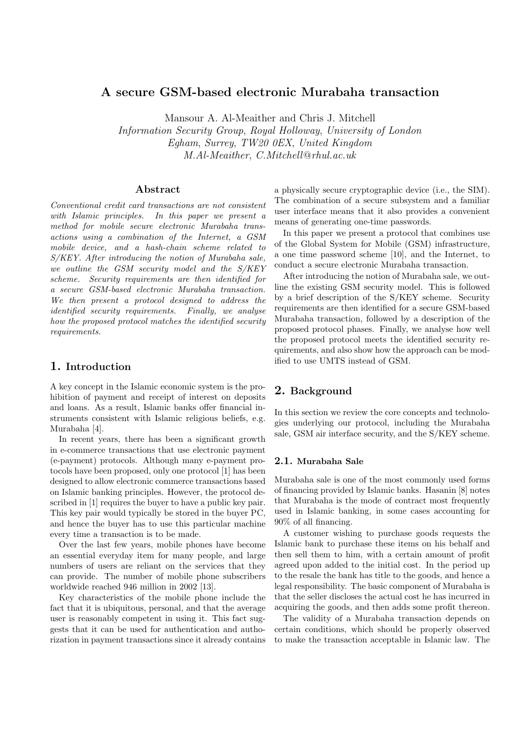# A secure GSM-based electronic Murabaha transaction

Mansour A. Al-Meaither and Chris J. Mitchell

Information Security Group, Royal Holloway, University of London Egham, Surrey, TW20 0EX, United Kingdom M.Al-Meaither, C.Mitchell@rhul.ac.uk

## Abstract

Conventional credit card transactions are not consistent with Islamic principles. In this paper we present a method for mobile secure electronic Murabaha transactions using a combination of the Internet, a GSM mobile device, and a hash-chain scheme related to S/KEY. After introducing the notion of Murabaha sale, we outline the GSM security model and the S/KEY scheme. Security requirements are then identified for a secure GSM-based electronic Murabaha transaction. We then present a protocol designed to address the identified security requirements. Finally, we analyse how the proposed protocol matches the identified security requirements.

## 1. Introduction

A key concept in the Islamic economic system is the prohibition of payment and receipt of interest on deposits and loans. As a result, Islamic banks offer financial instruments consistent with Islamic religious beliefs, e.g. Murabaha [4].

In recent years, there has been a significant growth in e-commerce transactions that use electronic payment (e-payment) protocols. Although many e-payment protocols have been proposed, only one protocol [1] has been designed to allow electronic commerce transactions based on Islamic banking principles. However, the protocol described in [1] requires the buyer to have a public key pair. This key pair would typically be stored in the buyer PC, and hence the buyer has to use this particular machine every time a transaction is to be made.

Over the last few years, mobile phones have become an essential everyday item for many people, and large numbers of users are reliant on the services that they can provide. The number of mobile phone subscribers worldwide reached 946 million in 2002 [13].

Key characteristics of the mobile phone include the fact that it is ubiquitous, personal, and that the average user is reasonably competent in using it. This fact suggests that it can be used for authentication and authorization in payment transactions since it already contains

a physically secure cryptographic device (i.e., the SIM). The combination of a secure subsystem and a familiar user interface means that it also provides a convenient means of generating one-time passwords.

In this paper we present a protocol that combines use of the Global System for Mobile (GSM) infrastructure, a one time password scheme [10], and the Internet, to conduct a secure electronic Murabaha transaction.

After introducing the notion of Murabaha sale, we outline the existing GSM security model. This is followed by a brief description of the S/KEY scheme. Security requirements are then identified for a secure GSM-based Murabaha transaction, followed by a description of the proposed protocol phases. Finally, we analyse how well the proposed protocol meets the identified security requirements, and also show how the approach can be modified to use UMTS instead of GSM.

## 2. Background

In this section we review the core concepts and technologies underlying our protocol, including the Murabaha sale, GSM air interface security, and the S/KEY scheme.

### 2.1. Murabaha Sale

Murabaha sale is one of the most commonly used forms of financing provided by Islamic banks. Hasanin [8] notes that Murabaha is the mode of contract most frequently used in Islamic banking, in some cases accounting for 90% of all financing.

A customer wishing to purchase goods requests the Islamic bank to purchase these items on his behalf and then sell them to him, with a certain amount of profit agreed upon added to the initial cost. In the period up to the resale the bank has title to the goods, and hence a legal responsibility. The basic component of Murabaha is that the seller discloses the actual cost he has incurred in acquiring the goods, and then adds some profit thereon.

The validity of a Murabaha transaction depends on certain conditions, which should be properly observed to make the transaction acceptable in Islamic law. The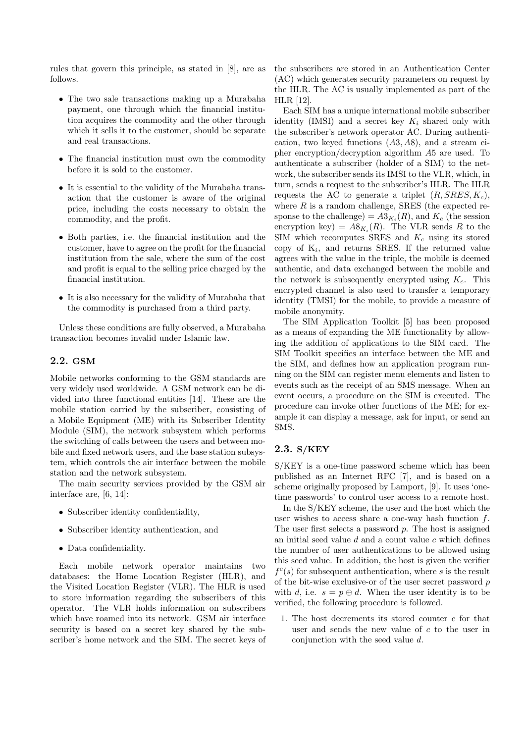rules that govern this principle, as stated in [8], are as follows.

- The two sale transactions making up a Murabaha payment, one through which the financial institution acquires the commodity and the other through which it sells it to the customer, should be separate and real transactions.
- The financial institution must own the commodity before it is sold to the customer.
- It is essential to the validity of the Murabaha transaction that the customer is aware of the original price, including the costs necessary to obtain the commodity, and the profit.
- Both parties, i.e. the financial institution and the customer, have to agree on the profit for the financial institution from the sale, where the sum of the cost and profit is equal to the selling price charged by the financial institution.
- It is also necessary for the validity of Murabaha that the commodity is purchased from a third party.

Unless these conditions are fully observed, a Murabaha transaction becomes invalid under Islamic law.

## 2.2. GSM

Mobile networks conforming to the GSM standards are very widely used worldwide. A GSM network can be divided into three functional entities [14]. These are the mobile station carried by the subscriber, consisting of a Mobile Equipment (ME) with its Subscriber Identity Module (SIM), the network subsystem which performs the switching of calls between the users and between mobile and fixed network users, and the base station subsystem, which controls the air interface between the mobile station and the network subsystem.

The main security services provided by the GSM air interface are, [6, 14]:

- Subscriber identity confidentiality,
- Subscriber identity authentication, and
- Data confidentiality.

Each mobile network operator maintains two databases: the Home Location Register (HLR), and the Visited Location Register (VLR). The HLR is used to store information regarding the subscribers of this operator. The VLR holds information on subscribers which have roamed into its network. GSM air interface security is based on a secret key shared by the subscriber's home network and the SIM. The secret keys of the subscribers are stored in an Authentication Center (AC) which generates security parameters on request by the HLR. The AC is usually implemented as part of the HLR [12].

Each SIM has a unique international mobile subscriber identity (IMSI) and a secret key  $K_i$  shared only with the subscriber's network operator AC. During authentication, two keyed functions (A3, A8), and a stream cipher encryption/decryption algorithm A5 are used. To authenticate a subscriber (holder of a SIM) to the network, the subscriber sends its IMSI to the VLR, which, in turn, sends a request to the subscriber's HLR. The HLR requests the AC to generate a triplet  $(R, SRES, K_c)$ , where  $R$  is a random challenge, SRES (the expected response to the challenge) =  $A3_{K_i}(R)$ , and  $K_c$  (the session encryption key) =  $A8_{K_i}(R)$ . The VLR sends R to the SIM which recomputes SRES and  $K_c$  using its stored copy of  $K_i$ , and returns SRES. If the returned value agrees with the value in the triple, the mobile is deemed authentic, and data exchanged between the mobile and the network is subsequently encrypted using  $K_c$ . This encrypted channel is also used to transfer a temporary identity (TMSI) for the mobile, to provide a measure of mobile anonymity.

The SIM Application Toolkit [5] has been proposed as a means of expanding the ME functionality by allowing the addition of applications to the SIM card. The SIM Toolkit specifies an interface between the ME and the SIM, and defines how an application program running on the SIM can register menu elements and listen to events such as the receipt of an SMS message. When an event occurs, a procedure on the SIM is executed. The procedure can invoke other functions of the ME; for example it can display a message, ask for input, or send an SMS.

## 2.3. S/KEY

S/KEY is a one-time password scheme which has been published as an Internet RFC [7], and is based on a scheme originally proposed by Lamport, [9]. It uses 'onetime passwords' to control user access to a remote host.

In the S/KEY scheme, the user and the host which the user wishes to access share a one-way hash function  $f$ . The user first selects a password  $p$ . The host is assigned an initial seed value  $d$  and a count value  $c$  which defines the number of user authentications to be allowed using this seed value. In addition, the host is given the verifier  $f^c(s)$  for subsequent authentication, where s is the result of the bit-wise exclusive-or of the user secret password p with d, i.e.  $s = p \oplus d$ . When the user identity is to be verified, the following procedure is followed.

1. The host decrements its stored counter  $c$  for that user and sends the new value of  $c$  to the user in conjunction with the seed value d.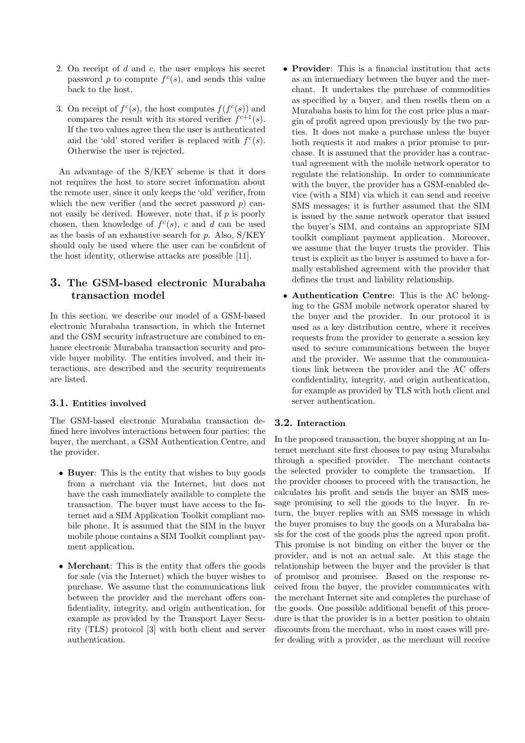- 2. On receipt of  $d$  and  $c$ , the user employs his secret password  $p$  to compute  $f^c(s)$ , and sends this value back to the host.
- 3. On receipt of  $f^c(s)$ , the host computes  $f(f^c(s))$  and compares the result with its stored verifier  $f^{c+1}(s)$ . If the two values agree then the user is authenticated and the 'old' stored verifier is replaced with  $f^c(s)$ . Otherwise the user is rejected.

An advantage of the S/KEY scheme is that it does not requires the host to store secret information about the remote user, since it only keeps the 'old' verifier, from which the new verifier (and the secret password  $p$ ) cannot easily be derived. However, note that, if  $p$  is poorly chosen, then knowledge of  $f^c(s)$ , c and d can be used as the basis of an exhaustive search for  $p$ . Also,  $S/KEY$ should only be used where the user can be confident of the host identity, otherwise attacks are possible [11].

# 3. The GSM-based electronic Murabaha transaction model

In this section, we describe our model of a GSM-based electronic Murabaha transaction, in which the Internet and the GSM security infrastructure are combined to enhance electronic Murabaha transaction security and provide buyer mobility. The entities involved, and their interactions, are described and the security requirements are listed.

## 3.1. Entities involved

The GSM-based electronic Murabaha transaction defined here involves interactions between four parties: the buyer, the merchant, a GSM Authentication Centre, and the provider.

- **Buyer:** This is the entity that wishes to buy goods from a merchant via the Internet, but does not have the cash immediately available to complete the transaction. The buyer must have access to the Internet and a SIM Application Toolkit compliant mobile phone. It is assumed that the SIM in the buyer mobile phone contains a SIM Toolkit compliant payment application.
- Merchant: This is the entity that offers the goods for sale (via the Internet) which the buyer wishes to purchase. We assume that the communications link between the provider and the merchant offers confidentiality, integrity, and origin authentication, for example as provided by the Transport Layer Security (TLS) protocol [3] with both client and server authentication.
- Provider: This is a financial institution that acts as an intermediary between the buyer and the merchant. It undertakes the purchase of commodities as specified by a buyer, and then resells them on a Murabaha basis to him for the cost price plus a margin of profit agreed upon previously by the two parties. It does not make a purchase unless the buyer both requests it and makes a prior promise to purchase. It is assumed that the provider has a contractual agreement with the mobile network operator to regulate the relationship. In order to communicate with the buyer, the provider has a GSM-enabled device (with a SIM) via which it can send and receive SMS messages; it is further assumed that the SIM is issued by the same network operator that issued the buyer's SIM, and contains an appropriate SIM toolkit compliant payment application. Moreover, we assume that the buyer trusts the provider. This trust is explicit as the buyer is assumed to have a formally established agreement with the provider that defines the trust and liability relationship.
- Authentication Centre: This is the AC belonging to the GSM mobile network operator shared by the buyer and the provider. In our protocol it is used as a key distribution centre, where it receives requests from the provider to generate a session key used to secure communications between the buyer and the provider. We assume that the communications link between the provider and the AC offers confidentiality, integrity, and origin authentication, for example as provided by TLS with both client and server authentication.

## 3.2. Interaction

In the proposed transaction, the buyer shopping at an Internet merchant site first chooses to pay using Murabaha through a specified provider. The merchant contacts the selected provider to complete the transaction. If the provider chooses to proceed with the transaction, he calculates his profit and sends the buyer an SMS message promising to sell the goods to the buyer. In return, the buyer replies with an SMS message in which the buyer promises to buy the goods on a Murabaha basis for the cost of the goods plus the agreed upon profit. This promise is not binding on either the buyer or the provider, and is not an actual sale. At this stage the relationship between the buyer and the provider is that of promisor and promisee. Based on the response received from the buyer, the provider communicates with the merchant Internet site and completes the purchase of the goods. One possible additional benefit of this procedure is that the provider is in a better position to obtain discounts from the merchant, who in most cases will prefer dealing with a provider, as the merchant will receive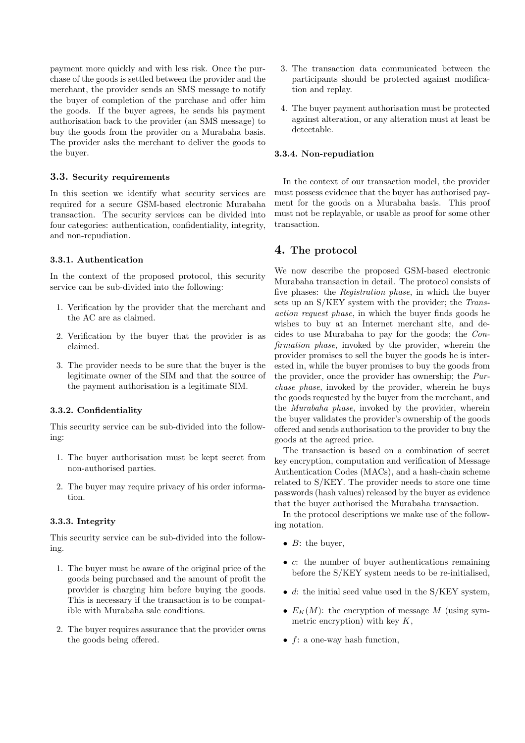payment more quickly and with less risk. Once the purchase of the goods is settled between the provider and the merchant, the provider sends an SMS message to notify the buyer of completion of the purchase and offer him the goods. If the buyer agrees, he sends his payment authorisation back to the provider (an SMS message) to buy the goods from the provider on a Murabaha basis. The provider asks the merchant to deliver the goods to the buyer.

### 3.3. Security requirements

In this section we identify what security services are required for a secure GSM-based electronic Murabaha transaction. The security services can be divided into four categories: authentication, confidentiality, integrity, and non-repudiation.

### 3.3.1. Authentication

In the context of the proposed protocol, this security service can be sub-divided into the following:

- 1. Verification by the provider that the merchant and the AC are as claimed.
- 2. Verification by the buyer that the provider is as claimed.
- 3. The provider needs to be sure that the buyer is the legitimate owner of the SIM and that the source of the payment authorisation is a legitimate SIM.

### 3.3.2. Confidentiality

This security service can be sub-divided into the following:

- 1. The buyer authorisation must be kept secret from non-authorised parties.
- 2. The buyer may require privacy of his order information.

### 3.3.3. Integrity

This security service can be sub-divided into the following.

- 1. The buyer must be aware of the original price of the goods being purchased and the amount of profit the provider is charging him before buying the goods. This is necessary if the transaction is to be compatible with Murabaha sale conditions.
- 2. The buyer requires assurance that the provider owns the goods being offered.
- 3. The transaction data communicated between the participants should be protected against modification and replay.
- 4. The buyer payment authorisation must be protected against alteration, or any alteration must at least be detectable.

#### 3.3.4. Non-repudiation

In the context of our transaction model, the provider must possess evidence that the buyer has authorised payment for the goods on a Murabaha basis. This proof must not be replayable, or usable as proof for some other transaction.

## 4. The protocol

We now describe the proposed GSM-based electronic Murabaha transaction in detail. The protocol consists of five phases: the Registration phase, in which the buyer sets up an S/KEY system with the provider; the Transaction request phase, in which the buyer finds goods he wishes to buy at an Internet merchant site, and decides to use Murabaha to pay for the goods; the Confirmation phase, invoked by the provider, wherein the provider promises to sell the buyer the goods he is interested in, while the buyer promises to buy the goods from the provider, once the provider has ownership; the Purchase phase, invoked by the provider, wherein he buys the goods requested by the buyer from the merchant, and the Murabaha phase, invoked by the provider, wherein the buyer validates the provider's ownership of the goods offered and sends authorisation to the provider to buy the goods at the agreed price.

The transaction is based on a combination of secret key encryption, computation and verification of Message Authentication Codes (MACs), and a hash-chain scheme related to S/KEY. The provider needs to store one time passwords (hash values) released by the buyer as evidence that the buyer authorised the Murabaha transaction.

In the protocol descriptions we make use of the following notation.

- $B$ : the buyer,
- c: the number of buyer authentications remaining before the S/KEY system needs to be re-initialised,
- $d$ : the initial seed value used in the S/KEY system,
- $E_K(M)$ : the encryption of message M (using symmetric encryption) with key  $K$ ,
- $\bullet$  f: a one-way hash function,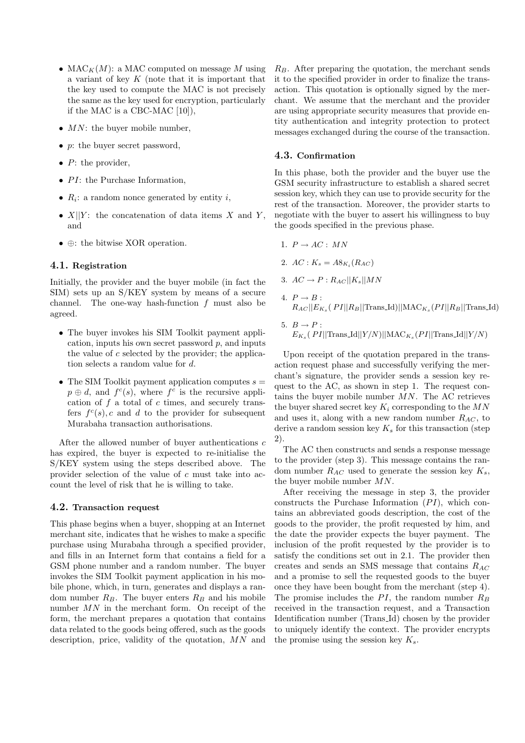- MAC<sub>K</sub> $(M)$ : a MAC computed on message M using a variant of key  $K$  (note that it is important that the key used to compute the MAC is not precisely the same as the key used for encryption, particularly if the MAC is a CBC-MAC [10]),
- $MN$ : the buyer mobile number.
- $p$ : the buyer secret password,
- $P$ : the provider,
- $PI:$  the Purchase Information,
- $R_i$ : a random nonce generated by entity i,
- $X||Y:$  the concatenation of data items X and Y, and
- ⊕: the bitwise XOR operation.

## 4.1. Registration

Initially, the provider and the buyer mobile (in fact the SIM) sets up an S/KEY system by means of a secure channel. The one-way hash-function  $f$  must also be agreed.

- The buyer invokes his SIM Toolkit payment application, inputs his own secret password  $p$ , and inputs the value of c selected by the provider; the application selects a random value for d.
- The SIM Toolkit payment application computes  $s =$  $p \oplus d$ , and  $f^c(s)$ , where  $f^c$  is the recursive application of  $f$  a total of  $c$  times, and securely transfers  $f^{c}(s)$ , c and d to the provider for subsequent Murabaha transaction authorisations.

After the allowed number of buyer authentications c has expired, the buyer is expected to re-initialise the S/KEY system using the steps described above. The provider selection of the value of c must take into account the level of risk that he is willing to take.

#### 4.2. Transaction request

This phase begins when a buyer, shopping at an Internet merchant site, indicates that he wishes to make a specific purchase using Murabaha through a specified provider, and fills in an Internet form that contains a field for a GSM phone number and a random number. The buyer invokes the SIM Toolkit payment application in his mobile phone, which, in turn, generates and displays a random number  $R_B$ . The buyer enters  $R_B$  and his mobile number MN in the merchant form. On receipt of the form, the merchant prepares a quotation that contains data related to the goods being offered, such as the goods description, price, validity of the quotation, MN and  $R_B$ . After preparing the quotation, the merchant sends it to the specified provider in order to finalize the transaction. This quotation is optionally signed by the merchant. We assume that the merchant and the provider are using appropriate security measures that provide entity authentication and integrity protection to protect messages exchanged during the course of the transaction.

#### 4.3. Confirmation

In this phase, both the provider and the buyer use the GSM security infrastructure to establish a shared secret session key, which they can use to provide security for the rest of the transaction. Moreover, the provider starts to negotiate with the buyer to assert his willingness to buy the goods specified in the previous phase.

- 1.  $P \rightarrow AC$ : MN 2.  $AC: K_s = A8_{K_i}(R_{AC})$ 3.  $AC \rightarrow P : R_{AC} || K_s || MN$ 4.  $P \rightarrow B$ :  $R_{AC}||E_{K_s}(PI||R_B||\text{Trans}_I d)||\text{MAC}_{K_s}(PI||R_B||\text{Trans}_I d)$
- 5.  $B \rightarrow P$ :  $E_{K_s}(PI||\text{Trans\_Id}||Y/N)||\text{MAC}_{K_s}(PI||\text{Trans\_Id}||Y/N)$

Upon receipt of the quotation prepared in the transaction request phase and successfully verifying the merchant's signature, the provider sends a session key request to the AC, as shown in step 1. The request contains the buyer mobile number  $MN$ . The AC retrieves the buyer shared secret key  $K_i$  corresponding to the  $MN$ and uses it, along with a new random number  $R_{AC}$ , to derive a random session key  $K_s$  for this transaction (step 2).

The AC then constructs and sends a response message to the provider (step 3). This message contains the random number  $R_{AC}$  used to generate the session key  $K_s$ , the buyer mobile number MN.

After receiving the message in step 3, the provider constructs the Purchase Information  $(PI)$ , which contains an abbreviated goods description, the cost of the goods to the provider, the profit requested by him, and the date the provider expects the buyer payment. The inclusion of the profit requested by the provider is to satisfy the conditions set out in 2.1. The provider then creates and sends an SMS message that contains  $R_{AC}$ and a promise to sell the requested goods to the buyer once they have been bought from the merchant (step 4). The promise includes the  $PI$ , the random number  $R_B$ received in the transaction request, and a Transaction Identification number (Trans Id) chosen by the provider to uniquely identify the context. The provider encrypts the promise using the session key  $K_s$ .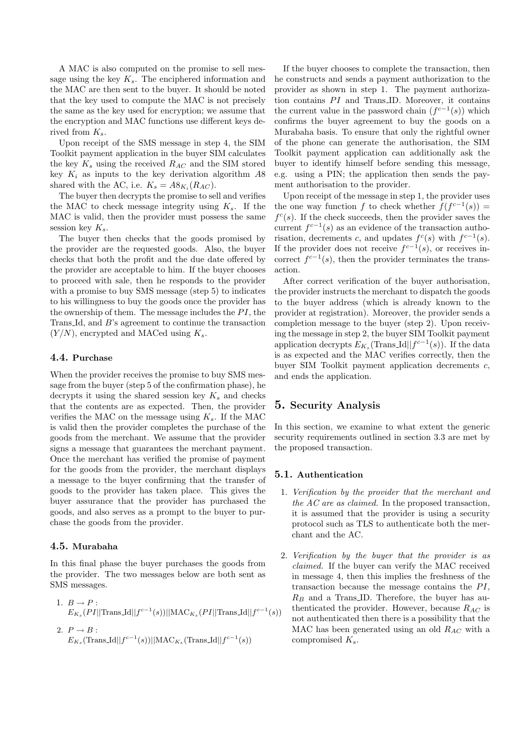A MAC is also computed on the promise to sell message using the key  $K_s$ . The enciphered information and the MAC are then sent to the buyer. It should be noted that the key used to compute the MAC is not precisely the same as the key used for encryption; we assume that the encryption and MAC functions use different keys derived from  $K_s$ .

Upon receipt of the SMS message in step 4, the SIM Toolkit payment application in the buyer SIM calculates the key  $K_s$  using the received  $R_{AC}$  and the SIM stored key  $K_i$  as inputs to the key derivation algorithm  $A8$ shared with the AC, i.e.  $K_s = A8_{K_i}(R_{AC})$ .

The buyer then decrypts the promise to sell and verifies the MAC to check message integrity using  $K_s$ . If the MAC is valid, then the provider must possess the same session key  $K_s$ .

The buyer then checks that the goods promised by the provider are the requested goods. Also, the buyer checks that both the profit and the due date offered by the provider are acceptable to him. If the buyer chooses to proceed with sale, then he responds to the provider with a promise to buy SMS message (step 5) to indicates to his willingness to buy the goods once the provider has the ownership of them. The message includes the  $PI$ , the Trans Id, and B's agreement to continue the transaction  $(Y/N)$ , encrypted and MACed using  $K_s$ .

### 4.4. Purchase

When the provider receives the promise to buy SMS message from the buyer (step 5 of the confirmation phase), he decrypts it using the shared session key  $K_s$  and checks that the contents are as expected. Then, the provider verifies the MAC on the message using  $K_s$ . If the MAC is valid then the provider completes the purchase of the goods from the merchant. We assume that the provider signs a message that guarantees the merchant payment. Once the merchant has verified the promise of payment for the goods from the provider, the merchant displays a message to the buyer confirming that the transfer of goods to the provider has taken place. This gives the buyer assurance that the provider has purchased the goods, and also serves as a prompt to the buyer to purchase the goods from the provider.

### 4.5. Murabaha

In this final phase the buyer purchases the goods from the provider. The two messages below are both sent as SMS messages.

1. 
$$
B \to P
$$
:  
\n $E_{K_s}(PI||\text{Trans}_I] |f^{c-1}(s)||\text{MAC}_{K_s}(PI||\text{Trans}_I] |f^{c-1}(s)|$   
\n2.  $P \to B$ :

$$
E_{K_s}(\text{Trans-Id}||f^{c-1}(s))||\text{MAC}_{K_s}(\text{Trans-Id}||f^{c-1}(s))
$$

If the buyer chooses to complete the transaction, then he constructs and sends a payment authorization to the provider as shown in step 1. The payment authorization contains  $PI$  and Trans ID. Moreover, it contains the current value in the password chain  $(f^{c-1}(s))$  which confirms the buyer agreement to buy the goods on a Murabaha basis. To ensure that only the rightful owner of the phone can generate the authorisation, the SIM Toolkit payment application can additionally ask the buyer to identify himself before sending this message, e.g. using a PIN; the application then sends the payment authorisation to the provider.

Upon receipt of the message in step 1, the provider uses the one way function f to check whether  $f(f^{c-1}(s)) =$  $f^c(s)$ . If the check succeeds, then the provider saves the current  $f^{c-1}(s)$  as an evidence of the transaction authorisation, decrements c, and updates  $f^{c}(s)$  with  $f^{c-1}(s)$ . If the provider does not receive  $f^{c-1}(s)$ , or receives incorrect  $f^{c-1}(s)$ , then the provider terminates the transaction.

After correct verification of the buyer authorisation, the provider instructs the merchant to dispatch the goods to the buyer address (which is already known to the provider at registration). Moreover, the provider sends a completion message to the buyer (step 2). Upon receiving the message in step 2, the buyer SIM Toolkit payment application decrypts  $E_{K_s}$ (Trans\_Id|| $f^{c-1}(s)$ ). If the data is as expected and the MAC verifies correctly, then the buyer SIM Toolkit payment application decrements c, and ends the application.

# 5. Security Analysis

In this section, we examine to what extent the generic security requirements outlined in section 3.3 are met by the proposed transaction.

## 5.1. Authentication

- 1. Verification by the provider that the merchant and the AC are as claimed. In the proposed transaction, it is assumed that the provider is using a security protocol such as TLS to authenticate both the merchant and the AC.
- 2. Verification by the buyer that the provider is as claimed. If the buyer can verify the MAC received in message 4, then this implies the freshness of the transaction because the message contains the  $PI$ ,  $R_B$  and a Trans ID. Therefore, the buyer has authenticated the provider. However, because  $R_{AC}$  is not authenticated then there is a possibility that the MAC has been generated using an old  $R_{AC}$  with a compromised  $K_s$ .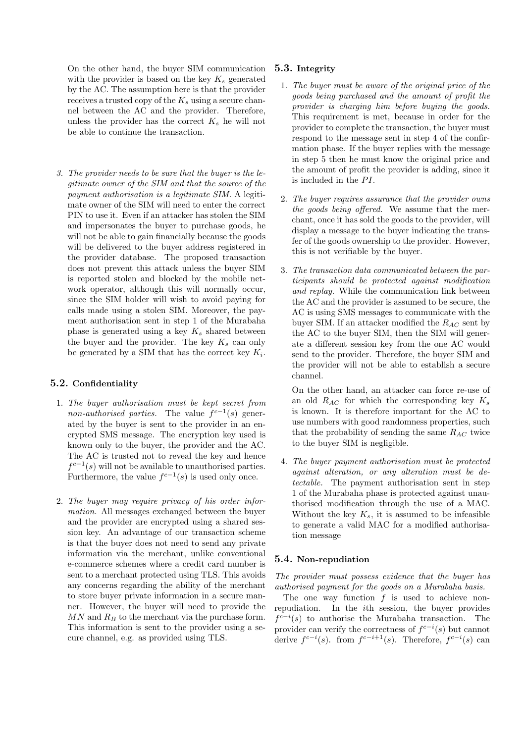On the other hand, the buyer SIM communication with the provider is based on the key  $K_s$  generated by the AC. The assumption here is that the provider receives a trusted copy of the  $K_s$  using a secure channel between the AC and the provider. Therefore, unless the provider has the correct  $K_s$  he will not be able to continue the transaction.

3. The provider needs to be sure that the buyer is the legitimate owner of the SIM and that the source of the payment authorisation is a legitimate SIM. A legitimate owner of the SIM will need to enter the correct PIN to use it. Even if an attacker has stolen the SIM and impersonates the buyer to purchase goods, he will not be able to gain financially because the goods will be delivered to the buyer address registered in the provider database. The proposed transaction does not prevent this attack unless the buyer SIM is reported stolen and blocked by the mobile network operator, although this will normally occur, since the SIM holder will wish to avoid paying for calls made using a stolen SIM. Moreover, the payment authorisation sent in step 1 of the Murabaha phase is generated using a key  $K_s$  shared between the buyer and the provider. The key  $K_s$  can only be generated by a SIM that has the correct key  $K_i$ .

## 5.2. Confidentiality

- 1. The buyer authorisation must be kept secret from *non-authorised parties*. The value  $f^{c-1}(s)$  generated by the buyer is sent to the provider in an encrypted SMS message. The encryption key used is known only to the buyer, the provider and the AC. The AC is trusted not to reveal the key and hence  $f^{c-1}(s)$  will not be available to unauthorised parties. Furthermore, the value  $f^{c-1}(s)$  is used only once.
- 2. The buyer may require privacy of his order information. All messages exchanged between the buyer and the provider are encrypted using a shared session key. An advantage of our transaction scheme is that the buyer does not need to send any private information via the merchant, unlike conventional e-commerce schemes where a credit card number is sent to a merchant protected using TLS. This avoids any concerns regarding the ability of the merchant to store buyer private information in a secure manner. However, the buyer will need to provide the  $MN$  and  $R_B$  to the merchant via the purchase form. This information is sent to the provider using a secure channel, e.g. as provided using TLS.

### 5.3. Integrity

- 1. The buyer must be aware of the original price of the goods being purchased and the amount of profit the provider is charging him before buying the goods. This requirement is met, because in order for the provider to complete the transaction, the buyer must respond to the message sent in step 4 of the confirmation phase. If the buyer replies with the message in step 5 then he must know the original price and the amount of profit the provider is adding, since it is included in the  $PI$ .
- 2. The buyer requires assurance that the provider owns the goods being offered. We assume that the merchant, once it has sold the goods to the provider, will display a message to the buyer indicating the transfer of the goods ownership to the provider. However, this is not verifiable by the buyer.
- 3. The transaction data communicated between the participants should be protected against modification and replay. While the communication link between the AC and the provider is assumed to be secure, the AC is using SMS messages to communicate with the buyer SIM. If an attacker modified the  $R_{AC}$  sent by the AC to the buyer SIM, then the SIM will generate a different session key from the one AC would send to the provider. Therefore, the buyer SIM and the provider will not be able to establish a secure channel.

On the other hand, an attacker can force re-use of an old  $R_{AC}$  for which the corresponding key  $K_s$ is known. It is therefore important for the AC to use numbers with good randomness properties, such that the probability of sending the same  $R_{AC}$  twice to the buyer SIM is negligible.

4. The buyer payment authorisation must be protected against alteration, or any alteration must be detectable. The payment authorisation sent in step 1 of the Murabaha phase is protected against unauthorised modification through the use of a MAC. Without the key  $K_s$ , it is assumed to be infeasible to generate a valid MAC for a modified authorisation message

### 5.4. Non-repudiation

The provider must possess evidence that the buyer has authorised payment for the goods on a Murabaha basis.

The one way function  $f$  is used to achieve nonrepudiation. In the ith session, the buyer provides  $f^{c-i}(s)$  to authorise the Murabaha transaction. The provider can verify the correctness of  $f^{c-i}(s)$  but cannot derive  $f^{c-i}(s)$ . from  $f^{c-i+1}(s)$ . Therefore,  $f^{c-i}(s)$  can